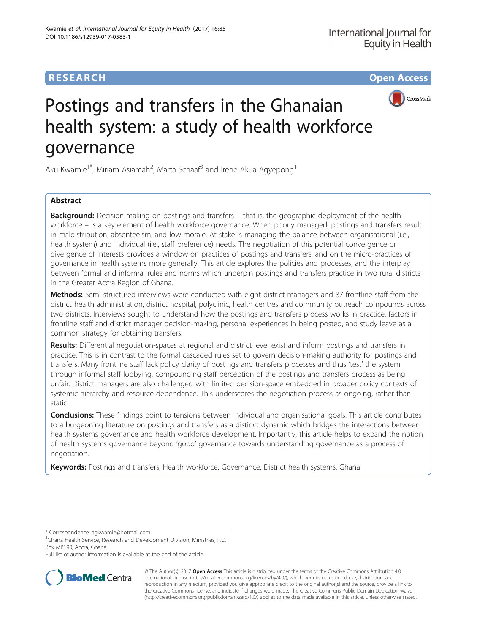# **RESEARCH CHILD CONTROL** CONTROL CONTROL CONTROL CONTROL CONTROL CONTROL CONTROL CONTROL CONTROL CONTROL CONTROL CONTROL CONTROL CONTROL CONTROL CONTROL CONTROL CONTROL CONTROL CONTROL CONTROL CONTROL CONTROL CONTROL CONTR



# Postings and transfers in the Ghanaian health system: a study of health workforce governance

Aku Kwamie<sup>1\*</sup>, Miriam Asiamah<sup>2</sup>, Marta Schaaf<sup>3</sup> and Irene Akua Agyepong<sup>1</sup>

# Abstract

**Background:** Decision-making on postings and transfers – that is, the geographic deployment of the health workforce – is a key element of health workforce governance. When poorly managed, postings and transfers result in maldistribution, absenteeism, and low morale. At stake is managing the balance between organisational (i.e., health system) and individual (i.e., staff preference) needs. The negotiation of this potential convergence or divergence of interests provides a window on practices of postings and transfers, and on the micro-practices of governance in health systems more generally. This article explores the policies and processes, and the interplay between formal and informal rules and norms which underpin postings and transfers practice in two rural districts in the Greater Accra Region of Ghana.

Methods: Semi-structured interviews were conducted with eight district managers and 87 frontline staff from the district health administration, district hospital, polyclinic, health centres and community outreach compounds across two districts. Interviews sought to understand how the postings and transfers process works in practice, factors in frontline staff and district manager decision-making, personal experiences in being posted, and study leave as a common strategy for obtaining transfers.

Results: Differential negotiation-spaces at regional and district level exist and inform postings and transfers in practice. This is in contrast to the formal cascaded rules set to govern decision-making authority for postings and transfers. Many frontline staff lack policy clarity of postings and transfers processes and thus 'test' the system through informal staff lobbying, compounding staff perception of the postings and transfers process as being unfair. District managers are also challenged with limited decision-space embedded in broader policy contexts of systemic hierarchy and resource dependence. This underscores the negotiation process as ongoing, rather than static.

Conclusions: These findings point to tensions between individual and organisational goals. This article contributes to a burgeoning literature on postings and transfers as a distinct dynamic which bridges the interactions between health systems governance and health workforce development. Importantly, this article helps to expand the notion of health systems governance beyond 'good' governance towards understanding governance as a process of negotiation.

Keywords: Postings and transfers, Health workforce, Governance, District health systems, Ghana

\* Correspondence: [agkwamie@hotmail.com](mailto:agkwamie@hotmail.com) <sup>1</sup>

<sup>1</sup>Ghana Health Service, Research and Development Division, Ministries, P.O. Box MB190, Accra, Ghana

Full list of author information is available at the end of the article



© The Author(s). 2017 **Open Access** This article is distributed under the terms of the Creative Commons Attribution 4.0 International License [\(http://creativecommons.org/licenses/by/4.0/](http://creativecommons.org/licenses/by/4.0/)), which permits unrestricted use, distribution, and reproduction in any medium, provided you give appropriate credit to the original author(s) and the source, provide a link to the Creative Commons license, and indicate if changes were made. The Creative Commons Public Domain Dedication waiver [\(http://creativecommons.org/publicdomain/zero/1.0/](http://creativecommons.org/publicdomain/zero/1.0/)) applies to the data made available in this article, unless otherwise stated.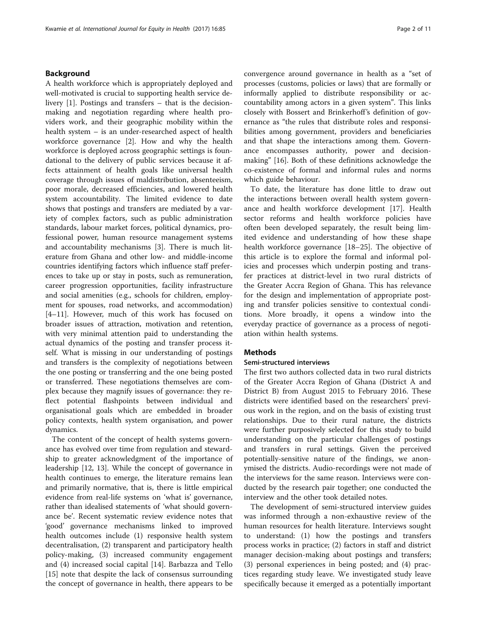# Background

A health workforce which is appropriately deployed and well-motivated is crucial to supporting health service delivery [[1\]](#page-10-0). Postings and transfers – that is the decisionmaking and negotiation regarding where health providers work, and their geographic mobility within the health system – is an under-researched aspect of health workforce governance [[2\]](#page-10-0). How and why the health workforce is deployed across geographic settings is foundational to the delivery of public services because it affects attainment of health goals like universal health coverage through issues of maldistribution, absenteeism, poor morale, decreased efficiencies, and lowered health system accountability. The limited evidence to date shows that postings and transfers are mediated by a variety of complex factors, such as public administration standards, labour market forces, political dynamics, professional power, human resource management systems and accountability mechanisms [\[3](#page-10-0)]. There is much literature from Ghana and other low- and middle-income countries identifying factors which influence staff preferences to take up or stay in posts, such as remuneration, career progression opportunities, facility infrastructure and social amenities (e.g., schools for children, employment for spouses, road networks, and accommodation) [[4](#page-10-0)–[11\]](#page-10-0). However, much of this work has focused on broader issues of attraction, motivation and retention, with very minimal attention paid to understanding the actual dynamics of the posting and transfer process itself. What is missing in our understanding of postings and transfers is the complexity of negotiations between the one posting or transferring and the one being posted or transferred. These negotiations themselves are complex because they magnify issues of governance: they reflect potential flashpoints between individual and organisational goals which are embedded in broader policy contexts, health system organisation, and power dynamics.

The content of the concept of health systems governance has evolved over time from regulation and stewardship to greater acknowledgment of the importance of leadership [\[12, 13\]](#page-10-0). While the concept of governance in health continues to emerge, the literature remains lean and primarily normative, that is, there is little empirical evidence from real-life systems on 'what is' governance, rather than idealised statements of 'what should governance be'. Recent systematic review evidence notes that 'good' governance mechanisms linked to improved health outcomes include (1) responsive health system decentralisation, (2) transparent and participatory health policy-making, (3) increased community engagement and (4) increased social capital [[14\]](#page-10-0). Barbazza and Tello [[15\]](#page-10-0) note that despite the lack of consensus surrounding the concept of governance in health, there appears to be convergence around governance in health as a "set of processes (customs, policies or laws) that are formally or informally applied to distribute responsibility or accountability among actors in a given system". This links closely with Bossert and Brinkerhoff's definition of governance as "the rules that distribute roles and responsibilities among government, providers and beneficiaries and that shape the interactions among them. Governance encompasses authority, power and decisionmaking" [\[16\]](#page-10-0). Both of these definitions acknowledge the co-existence of formal and informal rules and norms which guide behaviour.

To date, the literature has done little to draw out the interactions between overall health system governance and health workforce development [\[17\]](#page-10-0). Health sector reforms and health workforce policies have often been developed separately, the result being limited evidence and understanding of how these shape health workforce governance [[18](#page-10-0)–[25\]](#page-10-0). The objective of this article is to explore the formal and informal policies and processes which underpin posting and transfer practices at district-level in two rural districts of the Greater Accra Region of Ghana. This has relevance for the design and implementation of appropriate posting and transfer policies sensitive to contextual conditions. More broadly, it opens a window into the everyday practice of governance as a process of negotiation within health systems.

#### Methods

# Semi-structured interviews

The first two authors collected data in two rural districts of the Greater Accra Region of Ghana (District A and District B) from August 2015 to February 2016. These districts were identified based on the researchers' previous work in the region, and on the basis of existing trust relationships. Due to their rural nature, the districts were further purposively selected for this study to build understanding on the particular challenges of postings and transfers in rural settings. Given the perceived potentially-sensitive nature of the findings, we anonymised the districts. Audio-recordings were not made of the interviews for the same reason. Interviews were conducted by the research pair together; one conducted the interview and the other took detailed notes.

The development of semi-structured interview guides was informed through a non-exhaustive review of the human resources for health literature. Interviews sought to understand: (1) how the postings and transfers process works in practice; (2) factors in staff and district manager decision-making about postings and transfers; (3) personal experiences in being posted; and (4) practices regarding study leave. We investigated study leave specifically because it emerged as a potentially important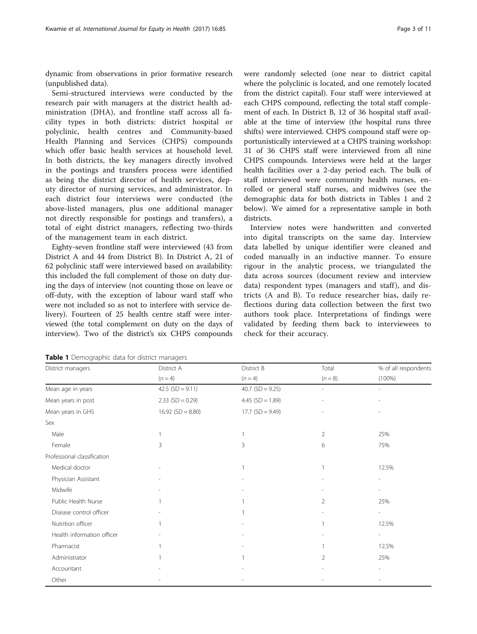<span id="page-2-0"></span>dynamic from observations in prior formative research (unpublished data).

Semi-structured interviews were conducted by the research pair with managers at the district health administration (DHA), and frontline staff across all facility types in both districts: district hospital or polyclinic, health centres and Community-based Health Planning and Services (CHPS) compounds which offer basic health services at household level. In both districts, the key managers directly involved in the postings and transfers process were identified as being the district director of health services, deputy director of nursing services, and administrator. In each district four interviews were conducted (the above-listed managers, plus one additional manager not directly responsible for postings and transfers), a total of eight district managers, reflecting two-thirds of the management team in each district.

Eighty-seven frontline staff were interviewed (43 from District A and 44 from District B). In District A, 21 of 62 polyclinic staff were interviewed based on availability: this included the full complement of those on duty during the days of interview (not counting those on leave or off-duty, with the exception of labour ward staff who were not included so as not to interfere with service delivery). Fourteen of 25 health centre staff were interviewed (the total complement on duty on the days of interview). Two of the district's six CHPS compounds were randomly selected (one near to district capital where the polyclinic is located, and one remotely located from the district capital). Four staff were interviewed at each CHPS compound, reflecting the total staff complement of each. In District B, 12 of 36 hospital staff available at the time of interview (the hospital runs three shifts) were interviewed. CHPS compound staff were opportunistically interviewed at a CHPS training workshop: 31 of 36 CHPS staff were interviewed from all nine CHPS compounds. Interviews were held at the larger health facilities over a 2-day period each. The bulk of staff interviewed were community health nurses, enrolled or general staff nurses, and midwives (see the demographic data for both districts in Tables 1 and [2](#page-3-0) below). We aimed for a representative sample in both districts.

Interview notes were handwritten and converted into digital transcripts on the same day. Interview data labelled by unique identifier were cleaned and coded manually in an inductive manner. To ensure rigour in the analytic process, we triangulated the data across sources (document review and interview data) respondent types (managers and staff), and districts (A and B). To reduce researcher bias, daily reflections during data collection between the first two authors took place. Interpretations of findings were validated by feeding them back to interviewees to check for their accuracy.

| District managers           | District A<br>$(n = 4)$ | District B<br>$(n = 4)$ | Total<br>$(n = 8)$ | % of all respondents<br>$(100\%)$ |
|-----------------------------|-------------------------|-------------------------|--------------------|-----------------------------------|
|                             |                         |                         |                    |                                   |
| Mean years in post          | $2.33$ (SD = 0.29)      | 4.45 $(SD = 1.89)$      |                    |                                   |
| Mean years in GHS           | $16.92$ (SD = 8.80)     | $17.7$ (SD = 9.49)      |                    | ٠                                 |
| Sex                         |                         |                         |                    |                                   |
| Male                        |                         |                         | $\overline{2}$     | 25%                               |
| Female                      | 3                       | 3                       | 6                  | 75%                               |
| Professional classification |                         |                         |                    |                                   |
| Medical doctor              |                         |                         |                    | 12.5%                             |
| Physician Assistant         |                         |                         |                    |                                   |
| Midwife                     |                         |                         |                    |                                   |
| Public Health Nurse         |                         |                         | $\overline{2}$     | 25%                               |
| Disease control officer     |                         |                         |                    | $\overline{\phantom{a}}$          |
| Nutrition officer           |                         |                         |                    | 12.5%                             |
| Health information officer  |                         |                         | ٠                  | $\overline{\phantom{a}}$          |
| Pharmacist                  |                         |                         |                    | 12.5%                             |
| Administrator               |                         |                         | 2                  | 25%                               |
| Accountant                  |                         |                         |                    |                                   |
| Other                       |                         |                         |                    |                                   |

Table 1 Demographic data for district managers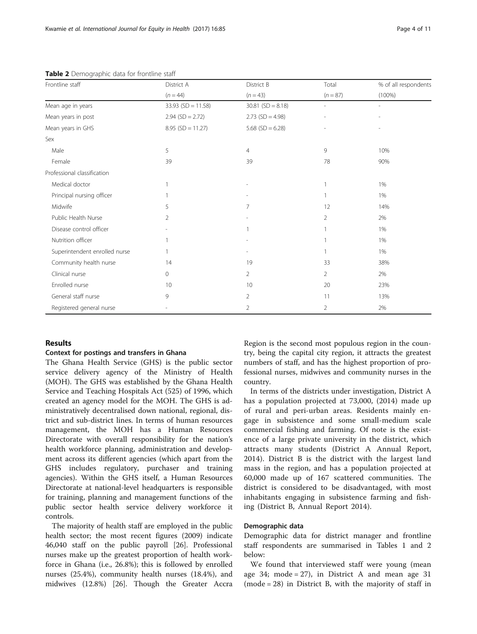| Frontline staff               | District A<br>$(n = 44)$ | District B<br>$(n = 43)$ | Total<br>$(n = 87)$ | % of all respondents<br>$(100\%)$ |
|-------------------------------|--------------------------|--------------------------|---------------------|-----------------------------------|
|                               |                          |                          |                     |                                   |
| Mean years in post            | $2.94$ (SD = 2.72)       | $2.73$ (SD = 4.98)       |                     |                                   |
| Mean years in GHS             | $8.95$ (SD = 11.27)      | 5.68 $(SD = 6.28)$       |                     |                                   |
| Sex                           |                          |                          |                     |                                   |
| Male                          | 5                        | $\overline{4}$           | 9                   | 10%                               |
| Female                        | 39                       | 39                       | 78                  | 90%                               |
| Professional classification   |                          |                          |                     |                                   |
| Medical doctor                |                          |                          |                     | 1%                                |
| Principal nursing officer     |                          |                          |                     | 1%                                |
| Midwife                       | 5                        | $\overline{7}$           | 12                  | 14%                               |
| Public Health Nurse           | $\overline{2}$           |                          | $\overline{2}$      | 2%                                |
| Disease control officer       |                          |                          |                     | 1%                                |
| Nutrition officer             |                          |                          |                     | 1%                                |
| Superintendent enrolled nurse |                          |                          |                     | 1%                                |
| Community health nurse        | 14                       | 19                       | 33                  | 38%                               |
| Clinical nurse                | $\circ$                  | $\overline{2}$           | $\overline{2}$      | 2%                                |
| Enrolled nurse                | 10                       | 10                       | 20                  | 23%                               |
| General staff nurse           | 9                        | 2                        | 11                  | 13%                               |
| Registered general nurse      |                          | $\overline{2}$           | $\overline{2}$      | 2%                                |

<span id="page-3-0"></span>Table 2 Demographic data for frontline staff

## Results

#### Context for postings and transfers in Ghana

The Ghana Health Service (GHS) is the public sector service delivery agency of the Ministry of Health (MOH). The GHS was established by the Ghana Health Service and Teaching Hospitals Act (525) of 1996, which created an agency model for the MOH. The GHS is administratively decentralised down national, regional, district and sub-district lines. In terms of human resources management, the MOH has a Human Resources Directorate with overall responsibility for the nation's health workforce planning, administration and development across its different agencies (which apart from the GHS includes regulatory, purchaser and training agencies). Within the GHS itself, a Human Resources Directorate at national-level headquarters is responsible for training, planning and management functions of the public sector health service delivery workforce it controls.

The majority of health staff are employed in the public health sector; the most recent figures (2009) indicate 46,040 staff on the public payroll [[26](#page-10-0)]. Professional nurses make up the greatest proportion of health workforce in Ghana (i.e., 26.8%); this is followed by enrolled nurses (25.4%), community health nurses (18.4%), and midwives (12.8%) [[26\]](#page-10-0). Though the Greater Accra

Region is the second most populous region in the country, being the capital city region, it attracts the greatest numbers of staff, and has the highest proportion of professional nurses, midwives and community nurses in the country.

In terms of the districts under investigation, District A has a population projected at 73,000, (2014) made up of rural and peri-urban areas. Residents mainly engage in subsistence and some small-medium scale commercial fishing and farming. Of note is the existence of a large private university in the district, which attracts many students (District A Annual Report, 2014). District B is the district with the largest land mass in the region, and has a population projected at 60,000 made up of 167 scattered communities. The district is considered to be disadvantaged, with most inhabitants engaging in subsistence farming and fishing (District B, Annual Report 2014).

#### Demographic data

Demographic data for district manager and frontline staff respondents are summarised in Tables [1](#page-2-0) and 2 below:

We found that interviewed staff were young (mean age 34; mode = 27), in District A and mean age 31 (mode = 28) in District B, with the majority of staff in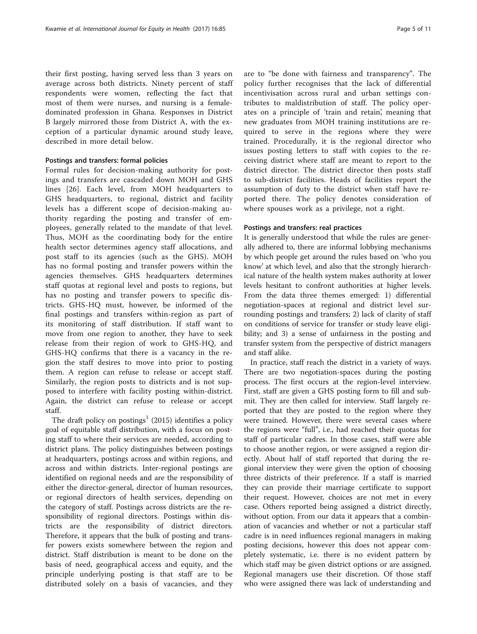their first posting, having served less than 3 years on average across both districts. Ninety percent of staff respondents were women, reflecting the fact that most of them were nurses, and nursing is a femaledominated profession in Ghana. Responses in District B largely mirrored those from District A, with the exception of a particular dynamic around study leave, described in more detail below.

## Postings and transfers: formal policies

Formal rules for decision-making authority for postings and transfers are cascaded down MOH and GHS lines [[26\]](#page-10-0). Each level, from MOH headquarters to GHS headquarters, to regional, district and facility levels has a different scope of decision-making authority regarding the posting and transfer of employees, generally related to the mandate of that level. Thus, MOH as the coordinating body for the entire health sector determines agency staff allocations, and post staff to its agencies (such as the GHS). MOH has no formal posting and transfer powers within the agencies themselves. GHS headquarters determines staff quotas at regional level and posts to regions, but has no posting and transfer powers to specific districts. GHS-HQ must, however, be informed of the final postings and transfers within-region as part of its monitoring of staff distribution. If staff want to move from one region to another, they have to seek release from their region of work to GHS-HQ, and GHS-HQ confirms that there is a vacancy in the region the staff desires to move into prior to posting them. A region can refuse to release or accept staff. Similarly, the region posts to districts and is not supposed to interfere with facility posting within-district. Again, the district can refuse to release or accept staff.

The draft policy on postings<sup>1</sup> (2015) identifies a policy goal of equitable staff distribution, with a focus on posting staff to where their services are needed, according to district plans. The policy distinguishes between postings at headquarters, postings across and within regions, and across and within districts. Inter-regional postings are identified on regional needs and are the responsibility of either the director-general, director of human resources, or regional directors of health services, depending on the category of staff. Postings across districts are the responsibility of regional directors. Postings within districts are the responsibility of district directors. Therefore, it appears that the bulk of posting and transfer powers exists somewhere between the region and district. Staff distribution is meant to be done on the basis of need, geographical access and equity, and the principle underlying posting is that staff are to be distributed solely on a basis of vacancies, and they

are to "be done with fairness and transparency". The policy further recognises that the lack of differential incentivisation across rural and urban settings contributes to maldistribution of staff. The policy operates on a principle of 'train and retain', meaning that new graduates from MOH training institutions are required to serve in the regions where they were trained. Procedurally, it is the regional director who issues posting letters to staff with copies to the receiving district where staff are meant to report to the district director. The district director then posts staff to sub-district facilities. Heads of facilities report the assumption of duty to the district when staff have reported there. The policy denotes consideration of where spouses work as a privilege, not a right.

#### Postings and transfers: real practices

It is generally understood that while the rules are generally adhered to, there are informal lobbying mechanisms by which people get around the rules based on 'who you know' at which level, and also that the strongly hierarchical nature of the health system makes authority at lower levels hesitant to confront authorities at higher levels. From the data three themes emerged: 1) differential negotiation-spaces at regional and district level surrounding postings and transfers; 2) lack of clarity of staff on conditions of service for transfer or study leave eligibility; and 3) a sense of unfairness in the posting and transfer system from the perspective of district managers and staff alike.

In practice, staff reach the district in a variety of ways. There are two negotiation-spaces during the posting process. The first occurs at the region-level interview. First, staff are given a GHS posting form to fill and submit. They are then called for interview. Staff largely reported that they are posted to the region where they were trained. However, there were several cases where the regions were "full", i.e., had reached their quotas for staff of particular cadres. In those cases, staff were able to choose another region, or were assigned a region directly. About half of staff reported that during the regional interview they were given the option of choosing three districts of their preference. If a staff is married they can provide their marriage certificate to support their request. However, choices are not met in every case. Others reported being assigned a district directly, without option. From our data it appears that a combination of vacancies and whether or not a particular staff cadre is in need influences regional managers in making posting decisions, however this does not appear completely systematic, i.e. there is no evident pattern by which staff may be given district options or are assigned. Regional managers use their discretion. Of those staff who were assigned there was lack of understanding and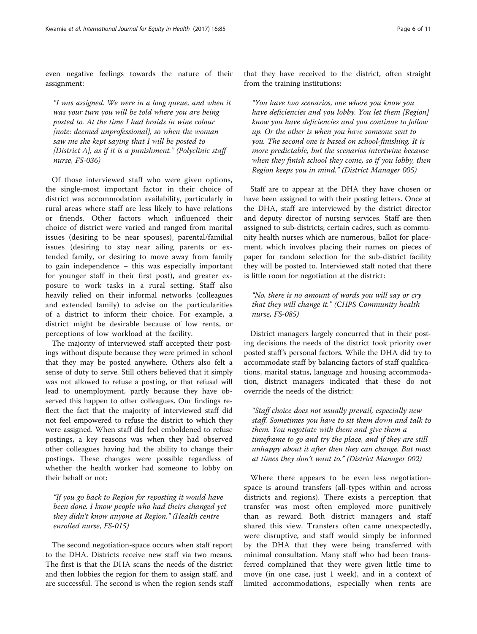even negative feelings towards the nature of their assignment:

"I was assigned. We were in a long queue, and when it was your turn you will be told where you are being posted to. At the time I had braids in wine colour [note: deemed unprofessional], so when the woman saw me she kept saying that I will be posted to [District A], as if it is a punishment." (Polyclinic staff nurse, FS-036)

Of those interviewed staff who were given options, the single-most important factor in their choice of district was accommodation availability, particularly in rural areas where staff are less likely to have relations or friends. Other factors which influenced their choice of district were varied and ranged from marital issues (desiring to be near spouses), parental/familial issues (desiring to stay near ailing parents or extended family, or desiring to move away from family to gain independence – this was especially important for younger staff in their first post), and greater exposure to work tasks in a rural setting. Staff also heavily relied on their informal networks (colleagues and extended family) to advise on the particularities of a district to inform their choice. For example, a district might be desirable because of low rents, or perceptions of low workload at the facility.

The majority of interviewed staff accepted their postings without dispute because they were primed in school that they may be posted anywhere. Others also felt a sense of duty to serve. Still others believed that it simply was not allowed to refuse a posting, or that refusal will lead to unemployment, partly because they have observed this happen to other colleagues. Our findings reflect the fact that the majority of interviewed staff did not feel empowered to refuse the district to which they were assigned. When staff did feel emboldened to refuse postings, a key reasons was when they had observed other colleagues having had the ability to change their postings. These changes were possible regardless of whether the health worker had someone to lobby on their behalf or not:

"If you go back to Region for reposting it would have been done. I know people who had theirs changed yet they didn't know anyone at Region." (Health centre enrolled nurse, FS-015)

The second negotiation-space occurs when staff report to the DHA. Districts receive new staff via two means. The first is that the DHA scans the needs of the district and then lobbies the region for them to assign staff, and are successful. The second is when the region sends staff

that they have received to the district, often straight from the training institutions:

"You have two scenarios, one where you know you have deficiencies and you lobby. You let them [Region] know you have deficiencies and you continue to follow up. Or the other is when you have someone sent to you. The second one is based on school-finishing. It is more predictable, but the scenarios intertwine because when they finish school they come, so if you lobby, then Region keeps you in mind." (District Manager 005)

Staff are to appear at the DHA they have chosen or have been assigned to with their posting letters. Once at the DHA, staff are interviewed by the district director and deputy director of nursing services. Staff are then assigned to sub-districts; certain cadres, such as community health nurses which are numerous, ballot for placement, which involves placing their names on pieces of paper for random selection for the sub-district facility they will be posted to. Interviewed staff noted that there is little room for negotiation at the district:

"No, there is no amount of words you will say or cry that they will change it." (CHPS Community health nurse, FS-085)

District managers largely concurred that in their posting decisions the needs of the district took priority over posted staff's personal factors. While the DHA did try to accommodate staff by balancing factors of staff qualifications, marital status, language and housing accommodation, district managers indicated that these do not override the needs of the district:

"Staff choice does not usually prevail, especially new staff. Sometimes you have to sit them down and talk to them. You negotiate with them and give them a timeframe to go and try the place, and if they are still unhappy about it after then they can change. But most at times they don't want to." (District Manager 002)

Where there appears to be even less negotiationspace is around transfers (all-types within and across districts and regions). There exists a perception that transfer was most often employed more punitively than as reward. Both district managers and staff shared this view. Transfers often came unexpectedly, were disruptive, and staff would simply be informed by the DHA that they were being transferred with minimal consultation. Many staff who had been transferred complained that they were given little time to move (in one case, just 1 week), and in a context of limited accommodations, especially when rents are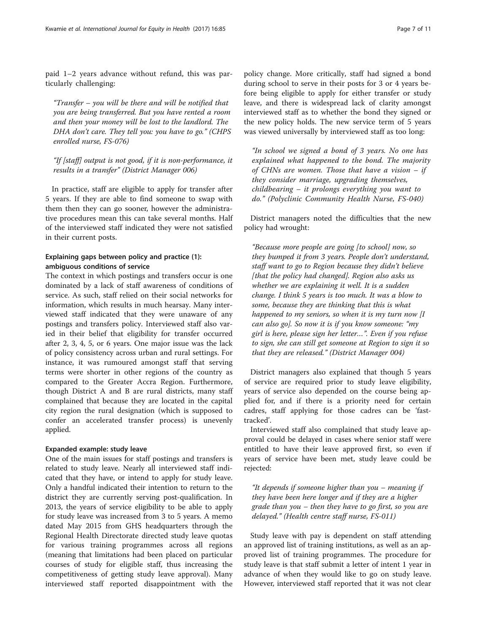paid 1–2 years advance without refund, this was particularly challenging:

"Transfer – you will be there and will be notified that you are being transferred. But you have rented a room and then your money will be lost to the landlord. The DHA don't care. They tell you: you have to go." (CHPS enrolled nurse, FS-076)

"If [staff] output is not good, if it is non-performance, it results in a transfer" (District Manager 006)

In practice, staff are eligible to apply for transfer after 5 years. If they are able to find someone to swap with them then they can go sooner, however the administrative procedures mean this can take several months. Half of the interviewed staff indicated they were not satisfied in their current posts.

# Explaining gaps between policy and practice (1): ambiguous conditions of service

The context in which postings and transfers occur is one dominated by a lack of staff awareness of conditions of service. As such, staff relied on their social networks for information, which results in much hearsay. Many interviewed staff indicated that they were unaware of any postings and transfers policy. Interviewed staff also varied in their belief that eligibility for transfer occurred after 2, 3, 4, 5, or 6 years. One major issue was the lack of policy consistency across urban and rural settings. For instance, it was rumoured amongst staff that serving terms were shorter in other regions of the country as compared to the Greater Accra Region. Furthermore, though District A and B are rural districts, many staff complained that because they are located in the capital city region the rural designation (which is supposed to confer an accelerated transfer process) is unevenly applied.

# Expanded example: study leave

One of the main issues for staff postings and transfers is related to study leave. Nearly all interviewed staff indicated that they have, or intend to apply for study leave. Only a handful indicated their intention to return to the district they are currently serving post-qualification. In 2013, the years of service eligibility to be able to apply for study leave was increased from 3 to 5 years. A memo dated May 2015 from GHS headquarters through the Regional Health Directorate directed study leave quotas for various training programmes across all regions (meaning that limitations had been placed on particular courses of study for eligible staff, thus increasing the competitiveness of getting study leave approval). Many interviewed staff reported disappointment with the

policy change. More critically, staff had signed a bond during school to serve in their posts for 3 or 4 years before being eligible to apply for either transfer or study leave, and there is widespread lack of clarity amongst interviewed staff as to whether the bond they signed or the new policy holds. The new service term of 5 years was viewed universally by interviewed staff as too long:

"In school we signed a bond of 3 years. No one has explained what happened to the bond. The majority of CHNs are women. Those that have a vision  $-$  if they consider marriage, upgrading themselves, childbearing – it prolongs everything you want to do." (Polyclinic Community Health Nurse, FS-040)

District managers noted the difficulties that the new policy had wrought:

"Because more people are going [to school] now, so they bumped it from 3 years. People don't understand, staff want to go to Region because they didn't believe [that the policy had changed]. Region also asks us whether we are explaining it well. It is a sudden change. I think 5 years is too much. It was a blow to some, because they are thinking that this is what happened to my seniors, so when it is my turn now  $\overline{I}$ can also go]. So now it is if you know someone: "my girl is here, please sign her letter…". Even if you refuse to sign, she can still get someone at Region to sign it so that they are released." (District Manager 004)

District managers also explained that though 5 years of service are required prior to study leave eligibility, years of service also depended on the course being applied for, and if there is a priority need for certain cadres, staff applying for those cadres can be 'fasttracked'.

Interviewed staff also complained that study leave approval could be delayed in cases where senior staff were entitled to have their leave approved first, so even if years of service have been met, study leave could be rejected:

"It depends if someone higher than you – meaning if they have been here longer and if they are a higher grade than you – then they have to go first, so you are delayed." (Health centre staff nurse, FS-011)

Study leave with pay is dependent on staff attending an approved list of training institutions, as well as an approved list of training programmes. The procedure for study leave is that staff submit a letter of intent 1 year in advance of when they would like to go on study leave. However, interviewed staff reported that it was not clear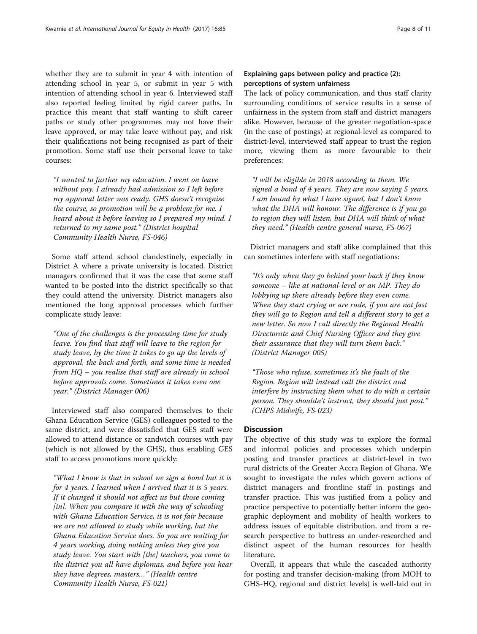whether they are to submit in year 4 with intention of attending school in year 5, or submit in year 5 with intention of attending school in year 6. Interviewed staff also reported feeling limited by rigid career paths. In practice this meant that staff wanting to shift career paths or study other programmes may not have their leave approved, or may take leave without pay, and risk their qualifications not being recognised as part of their promotion. Some staff use their personal leave to take courses:

"I wanted to further my education. I went on leave without pay. I already had admission so I left before my approval letter was ready. GHS doesn't recognise the course, so promotion will be a problem for me. I heard about it before leaving so I prepared my mind. I returned to my same post." (District hospital Community Health Nurse, FS-046)

Some staff attend school clandestinely, especially in District A where a private university is located. District managers confirmed that it was the case that some staff wanted to be posted into the district specifically so that they could attend the university. District managers also mentioned the long approval processes which further complicate study leave:

"One of the challenges is the processing time for study leave. You find that staff will leave to the region for study leave, by the time it takes to go up the levels of approval, the back and forth, and some time is needed from HQ – you realise that staff are already in school before approvals come. Sometimes it takes even one year." (District Manager 006)

Interviewed staff also compared themselves to their Ghana Education Service (GES) colleagues posted to the same district, and were dissatisfied that GES staff were allowed to attend distance or sandwich courses with pay (which is not allowed by the GHS), thus enabling GES staff to access promotions more quickly:

"What I know is that in school we sign a bond but it is for 4 years. I learned when I arrived that it is 5 years. If it changed it should not affect us but those coming  $[$ in $]$ . When you compare it with the way of schooling with Ghana Education Service, it is not fair because we are not allowed to study while working, but the Ghana Education Service does. So you are waiting for 4 years working, doing nothing unless they give you study leave. You start with [the] teachers, you come to the district you all have diplomas, and before you hear they have degrees, masters…" (Health centre Community Health Nurse, FS-021)

# Explaining gaps between policy and practice (2): perceptions of system unfairness

The lack of policy communication, and thus staff clarity surrounding conditions of service results in a sense of unfairness in the system from staff and district managers alike. However, because of the greater negotiation-space (in the case of postings) at regional-level as compared to district-level, interviewed staff appear to trust the region more, viewing them as more favourable to their preferences:

"I will be eligible in 2018 according to them. We signed a bond of 4 years. They are now saying 5 years. I am bound by what I have signed, but I don't know what the DHA will honour. The difference is if you go to region they will listen, but DHA will think of what they need." (Health centre general nurse, FS-067)

District managers and staff alike complained that this can sometimes interfere with staff negotiations:

"It's only when they go behind your back if they know someone – like at national-level or an MP. They do lobbying up there already before they even come. When they start crying or are rude, if you are not fast they will go to Region and tell a different story to get a new letter. So now I call directly the Regional Health Directorate and Chief Nursing Officer and they give their assurance that they will turn them back." (District Manager 005)

"Those who refuse, sometimes it's the fault of the Region. Region will instead call the district and interfere by instructing them what to do with a certain person. They shouldn't instruct, they should just post." (CHPS Midwife, FS-023)

# **Discussion**

The objective of this study was to explore the formal and informal policies and processes which underpin posting and transfer practices at district-level in two rural districts of the Greater Accra Region of Ghana. We sought to investigate the rules which govern actions of district managers and frontline staff in postings and transfer practice. This was justified from a policy and practice perspective to potentially better inform the geographic deployment and mobility of health workers to address issues of equitable distribution, and from a research perspective to buttress an under-researched and distinct aspect of the human resources for health literature.

Overall, it appears that while the cascaded authority for posting and transfer decision-making (from MOH to GHS-HQ, regional and district levels) is well-laid out in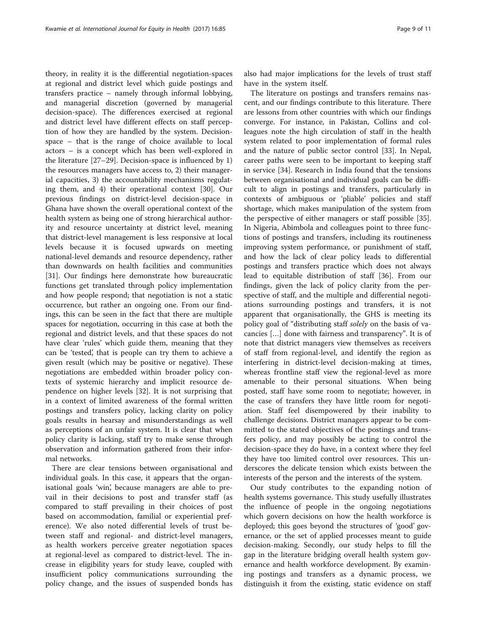theory, in reality it is the differential negotiation-spaces at regional and district level which guide postings and transfers practice – namely through informal lobbying, and managerial discretion (governed by managerial decision-space). The differences exercised at regional and district level have different effects on staff perception of how they are handled by the system. Decisionspace – that is the range of choice available to local actors – is a concept which has been well-explored in the literature [\[27](#page-10-0)–[29\]](#page-10-0). Decision-space is influenced by 1) the resources managers have access to, 2) their managerial capacities, 3) the accountability mechanisms regulating them, and 4) their operational context [\[30](#page-10-0)]. Our previous findings on district-level decision-space in Ghana have shown the overall operational context of the health system as being one of strong hierarchical authority and resource uncertainty at district level, meaning that district-level management is less responsive at local levels because it is focused upwards on meeting national-level demands and resource dependency, rather than downwards on health facilities and communities [[31\]](#page-10-0). Our findings here demonstrate how bureaucratic functions get translated through policy implementation and how people respond; that negotiation is not a static occurrence, but rather an ongoing one. From our findings, this can be seen in the fact that there are multiple spaces for negotiation, occurring in this case at both the regional and district levels, and that these spaces do not have clear 'rules' which guide them, meaning that they can be 'tested', that is people can try them to achieve a given result (which may be positive or negative). These negotiations are embedded within broader policy contexts of systemic hierarchy and implicit resource dependence on higher levels [[32\]](#page-10-0). It is not surprising that in a context of limited awareness of the formal written postings and transfers policy, lacking clarity on policy goals results in hearsay and misunderstandings as well as perceptions of an unfair system. It is clear that when policy clarity is lacking, staff try to make sense through observation and information gathered from their informal networks.

There are clear tensions between organisational and individual goals. In this case, it appears that the organisational goals 'win', because managers are able to prevail in their decisions to post and transfer staff (as compared to staff prevailing in their choices of post based on accommodation, familial or experiential preference). We also noted differential levels of trust between staff and regional- and district-level managers, as health workers perceive greater negotiation spaces at regional-level as compared to district-level. The increase in eligibility years for study leave, coupled with insufficient policy communications surrounding the policy change, and the issues of suspended bonds has

also had major implications for the levels of trust staff have in the system itself.

The literature on postings and transfers remains nascent, and our findings contribute to this literature. There are lessons from other countries with which our findings converge. For instance, in Pakistan, Collins and colleagues note the high circulation of staff in the health system related to poor implementation of formal rules and the nature of public sector control [[33\]](#page-10-0). In Nepal, career paths were seen to be important to keeping staff in service [\[34\]](#page-10-0). Research in India found that the tensions between organisational and individual goals can be difficult to align in postings and transfers, particularly in contexts of ambiguous or 'pliable' policies and staff shortage, which makes manipulation of the system from the perspective of either managers or staff possible [\[35](#page-10-0)]. In Nigeria, Abimbola and colleagues point to three functions of postings and transfers, including its routineness improving system performance, or punishment of staff, and how the lack of clear policy leads to differential postings and transfers practice which does not always lead to equitable distribution of staff [\[36\]](#page-10-0). From our findings, given the lack of policy clarity from the perspective of staff, and the multiple and differential negotiations surrounding postings and transfers, it is not apparent that organisationally, the GHS is meeting its policy goal of "distributing staff solely on the basis of vacancies […] done with fairness and transparency". It is of note that district managers view themselves as receivers of staff from regional-level, and identify the region as interfering in district-level decision-making at times, whereas frontline staff view the regional-level as more amenable to their personal situations. When being posted, staff have some room to negotiate; however, in the case of transfers they have little room for negotiation. Staff feel disempowered by their inability to challenge decisions. District managers appear to be committed to the stated objectives of the postings and transfers policy, and may possibly be acting to control the decision-space they do have, in a context where they feel they have too limited control over resources. This underscores the delicate tension which exists between the interests of the person and the interests of the system.

Our study contributes to the expanding notion of health systems governance. This study usefully illustrates the influence of people in the ongoing negotiations which govern decisions on how the health workforce is deployed; this goes beyond the structures of 'good' governance, or the set of applied processes meant to guide decision-making. Secondly, our study helps to fill the gap in the literature bridging overall health system governance and health workforce development. By examining postings and transfers as a dynamic process, we distinguish it from the existing, static evidence on staff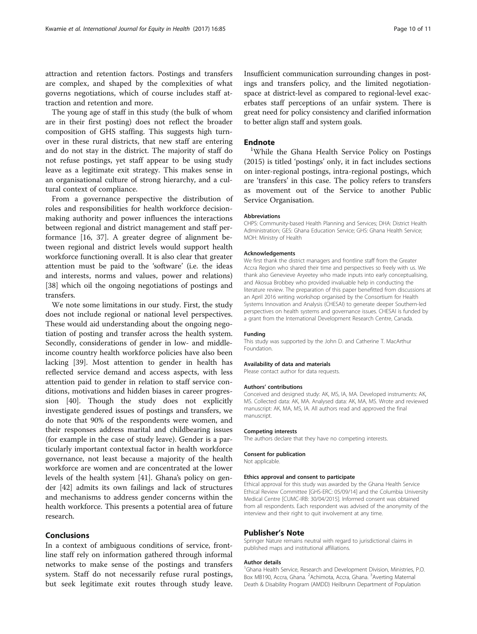attraction and retention factors. Postings and transfers are complex, and shaped by the complexities of what governs negotiations, which of course includes staff attraction and retention and more.

The young age of staff in this study (the bulk of whom are in their first posting) does not reflect the broader composition of GHS staffing. This suggests high turnover in these rural districts, that new staff are entering and do not stay in the district. The majority of staff do not refuse postings, yet staff appear to be using study leave as a legitimate exit strategy. This makes sense in an organisational culture of strong hierarchy, and a cultural context of compliance.

From a governance perspective the distribution of roles and responsibilities for health workforce decisionmaking authority and power influences the interactions between regional and district management and staff performance [\[16](#page-10-0), [37](#page-10-0)]. A greater degree of alignment between regional and district levels would support health workforce functioning overall. It is also clear that greater attention must be paid to the 'software' (i.e. the ideas and interests, norms and values, power and relations) [[38\]](#page-10-0) which oil the ongoing negotiations of postings and transfers.

We note some limitations in our study. First, the study does not include regional or national level perspectives. These would aid understanding about the ongoing negotiation of posting and transfer across the health system. Secondly, considerations of gender in low- and middleincome country health workforce policies have also been lacking [[39](#page-10-0)]. Most attention to gender in health has reflected service demand and access aspects, with less attention paid to gender in relation to staff service conditions, motivations and hidden biases in career progression [[40\]](#page-10-0). Though the study does not explicitly investigate gendered issues of postings and transfers, we do note that 90% of the respondents were women, and their responses address marital and childbearing issues (for example in the case of study leave). Gender is a particularly important contextual factor in health workforce governance, not least because a majority of the health workforce are women and are concentrated at the lower levels of the health system [\[41](#page-10-0)]. Ghana's policy on gender [[42\]](#page-10-0) admits its own failings and lack of structures and mechanisms to address gender concerns within the health workforce. This presents a potential area of future research.

## Conclusions

In a context of ambiguous conditions of service, frontline staff rely on information gathered through informal networks to make sense of the postings and transfers system. Staff do not necessarily refuse rural postings, but seek legitimate exit routes through study leave.

Insufficient communication surrounding changes in postings and transfers policy, and the limited negotiationspace at district-level as compared to regional-level exacerbates staff perceptions of an unfair system. There is great need for policy consistency and clarified information to better align staff and system goals.

## **Endnote**

<sup>1</sup>While the Ghana Health Service Policy on Postings (2015) is titled 'postings' only, it in fact includes sections on inter-regional postings, intra-regional postings, which are 'transfers' in this case. The policy refers to transfers as movement out of the Service to another Public Service Organisation.

#### Abbreviations

CHPS: Community-based Health Planning and Services; DHA: District Health Administration; GES: Ghana Education Service; GHS: Ghana Health Service; MOH: Ministry of Health

#### Acknowledgements

We first thank the district managers and frontline staff from the Greater Accra Region who shared their time and perspectives so freely with us. We thank also Genevieve Aryeetey who made inputs into early conceptualising, and Akosua Brobbey who provided invaluable help in conducting the literature review. The preparation of this paper benefitted from discussions at an April 2016 writing workshop organised by the Consortium for Health Systems Innovation and Analysis (CHESAI) to generate deeper Southern-led perspectives on health systems and governance issues. CHESAI is funded by a grant from the International Development Research Centre, Canada.

#### Funding

This study was supported by the John D. and Catherine T. MacArthur Foundation.

#### Availability of data and materials

Please contact author for data requests.

#### Authors' contributions

Conceived and designed study: AK, MS, IA, MA. Developed instruments: AK, MS. Collected data: AK, MA. Analysed data: AK, MA, MS. Wrote and reviewed manuscript: AK, MA, MS, IA. All authors read and approved the final manuscript.

#### Competing interests

The authors declare that they have no competing interests.

#### Consent for publication

Not applicable.

#### Ethics approval and consent to participate

Ethical approval for this study was awarded by the Ghana Health Service Ethical Review Committee [GHS-ERC: 05/09/14] and the Columbia University Medical Centre [CUMC-IRB: 30/04/2015]. Informed consent was obtained from all respondents. Each respondent was advised of the anonymity of the interview and their right to quit involvement at any time.

#### Publisher's Note

Springer Nature remains neutral with regard to jurisdictional claims in published maps and institutional affiliations.

#### Author details

<sup>1</sup>Ghana Health Service, Research and Development Division, Ministries, P.O. Box MB190, Accra, Ghana. <sup>2</sup> Achimota, Accra, Ghana. <sup>3</sup> Averting Maternal Death & Disability Program (AMDD) Heilbrunn Department of Population